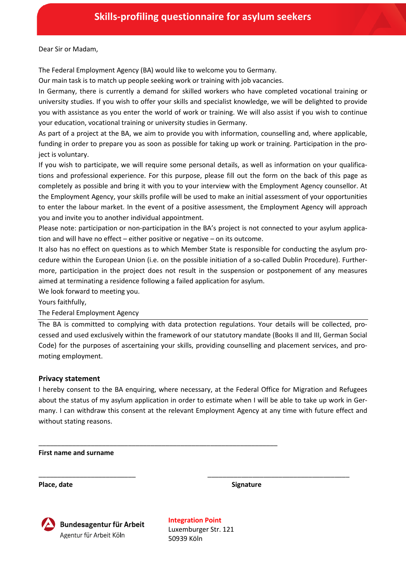Dear Sir or Madam,

The Federal Employment Agency (BA) would like to welcome you to Germany.

Our main task is to match up people seeking work or training with job vacancies.

In Germany, there is currently a demand for skilled workers who have completed vocational training or university studies. If you wish to offer your skills and specialist knowledge, we will be delighted to provide you with assistance as you enter the world of work or training. We will also assist if you wish to continue your education, vocational training or university studies in Germany.

As part of a project at the BA, we aim to provide you with information, counselling and, where applicable, funding in order to prepare you as soon as possible for taking up work or training. Participation in the project is voluntary.

If you wish to participate, we will require some personal details, as well as information on your qualifications and professional experience. For this purpose, please fill out the form on the back of this page as completely as possible and bring it with you to your interview with the Employment Agency counsellor. At the Employment Agency, your skills profile will be used to make an initial assessment of your opportunities to enter the labour market. In the event of a positive assessment, the Employment Agency will approach you and invite you to another individual appointment.

Please note: participation or non-participation in the BA's project is not connected to your asylum application and will have no effect – either positive or negative – on its outcome.

It also has no effect on questions as to which Member State is responsible for conducting the asylum procedure within the European Union (i.e. on the possible initiation of a so-called Dublin Procedure). Furthermore, participation in the project does not result in the suspension or postponement of any measures aimed at terminating a residence following a failed application for asylum.

We look forward to meeting you.

Yours faithfully,

The Federal Employment Agency

The BA is committed to complying with data protection regulations. Your details will be collected, processed and used exclusively within the framework of our statutory mandate (Books II and III, German Social Code) for the purposes of ascertaining your skills, providing counselling and placement services, and promoting employment.

## **Privacy statement**

I hereby consent to the BA enquiring, where necessary, at the Federal Office for Migration and Refugees about the status of my asylum application in order to estimate when I will be able to take up work in Germany. I can withdraw this consent at the relevant Employment Agency at any time with future effect and without stating reasons.

\_\_\_\_\_\_\_\_\_\_\_\_\_\_\_\_\_\_\_\_\_\_\_\_\_\_\_\_\_\_\_\_\_\_\_\_\_\_\_\_\_\_\_\_\_\_\_\_\_\_\_\_\_\_\_\_\_\_\_\_\_\_\_\_

**First name and surname**

**Place, date Signature**



**Integration Point** Luxemburger Str. 121 50939 Köln

\_\_\_\_\_\_\_\_\_\_\_\_\_\_\_\_\_\_\_\_\_\_\_\_\_\_ \_\_\_\_\_\_\_\_\_\_\_\_\_\_\_\_\_\_\_\_\_\_\_\_\_\_\_\_\_\_\_\_\_\_\_\_\_\_